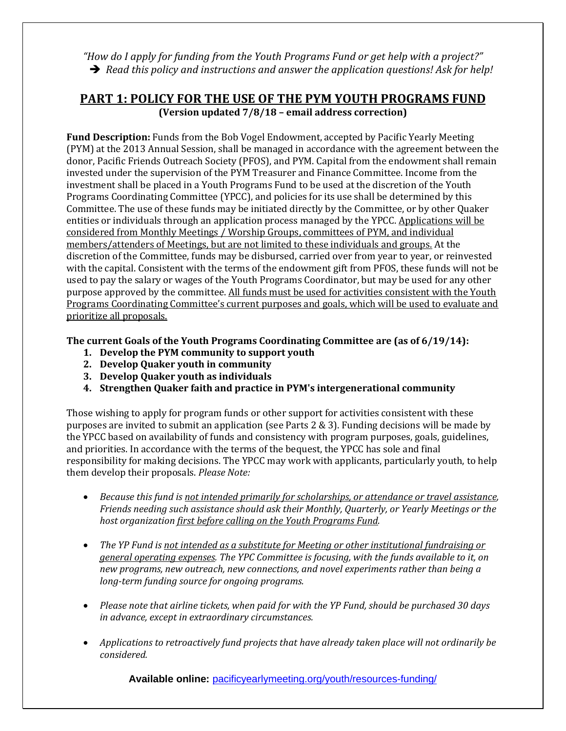*"How do I apply for funding from the Youth Programs Fund or get help with a project?" Read this policy and instructions and answer the application questions! Ask for help!*

#### **PART 1: POLICY FOR THE USE OF THE PYM YOUTH PROGRAMS FUND (Version updated 7/8/18 – email address correction)**

**Fund Description:** Funds from the Bob Vogel Endowment, accepted by Pacific Yearly Meeting (PYM) at the 2013 Annual Session, shall be managed in accordance with the agreement between the donor, Pacific Friends Outreach Society (PFOS), and PYM. Capital from the endowment shall remain invested under the supervision of the PYM Treasurer and Finance Committee. Income from the investment shall be placed in a Youth Programs Fund to be used at the discretion of the Youth Programs Coordinating Committee (YPCC), and policies for its use shall be determined by this Committee. The use of these funds may be initiated directly by the Committee, or by other Quaker entities or individuals through an application process managed by the YPCC. Applications will be considered from Monthly Meetings / Worship Groups, committees of PYM, and individual members/attenders of Meetings, but are not limited to these individuals and groups. At the discretion of the Committee, funds may be disbursed, carried over from year to year, or reinvested with the capital. Consistent with the terms of the endowment gift from PFOS, these funds will not be used to pay the salary or wages of the Youth Programs Coordinator, but may be used for any other purpose approved by the committee. All funds must be used for activities consistent with the Youth Programs Coordinating Committee's current purposes and goals, which will be used to evaluate and prioritize all proposals.

**The current Goals of the Youth Programs Coordinating Committee are (as of 6/19/14):**

- **1. Develop the PYM community to support youth**
- **2. Develop Quaker youth in community**
- **3. Develop Quaker youth as individuals**
- **4. Strengthen Quaker faith and practice in PYM's intergenerational community**

Those wishing to apply for program funds or other support for activities consistent with these purposes are invited to submit an application (see Parts 2 & 3). Funding decisions will be made by the YPCC based on availability of funds and consistency with program purposes, goals, guidelines, and priorities. In accordance with the terms of the bequest, the YPCC has sole and final responsibility for making decisions. The YPCC may work with applicants, particularly youth, to help them develop their proposals. *Please Note:*

- *Because this fund is not intended primarily for scholarships, or attendance or travel assistance, Friends needing such assistance should ask their Monthly, Quarterly, or Yearly Meetings or the host organization first before calling on the Youth Programs Fund.*
- *The YP Fund is not intended as a substitute for Meeting or other institutional fundraising or general operating expenses. The YPC Committee is focusing, with the funds available to it, on new programs, new outreach, new connections, and novel experiments rather than being a long-term funding source for ongoing programs.*
- *Please note that airline tickets, when paid for with the YP Fund, should be purchased 30 days in advance, except in extraordinary circumstances.*
- *Applications to retroactively fund projects that have already taken place will not ordinarily be considered.*

**Available online:** [pacificyearlymeeting.org/youth/resources-funding/](http://www.pacificyearlymeeting.org/youth/resources-funding/)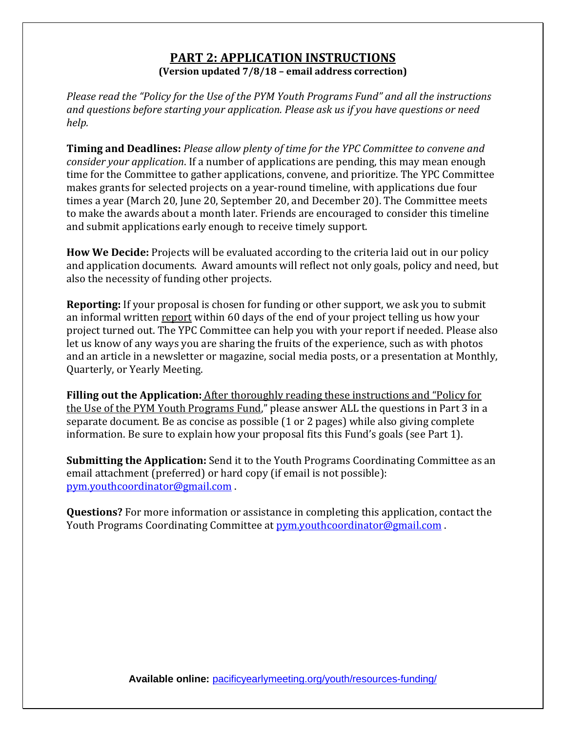#### **PART 2: APPLICATION INSTRUCTIONS (Version updated 7/8/18 – email address correction)**

*Please read the "Policy for the Use of the PYM Youth Programs Fund" and all the instructions and questions before starting your application. Please ask us if you have questions or need help.*

**Timing and Deadlines:** *Please allow plenty of time for the YPC Committee to convene and consider your application*. If a number of applications are pending, this may mean enough time for the Committee to gather applications, convene, and prioritize. The YPC Committee makes grants for selected projects on a year-round timeline, with applications due four times a year (March 20, June 20, September 20, and December 20). The Committee meets to make the awards about a month later. Friends are encouraged to consider this timeline and submit applications early enough to receive timely support.

**How We Decide:** Projects will be evaluated according to the criteria laid out in our policy and application documents. Award amounts will reflect not only goals, policy and need, but also the necessity of funding other projects.

**Reporting:** If your proposal is chosen for funding or other support, we ask you to submit an informal written report within 60 days of the end of your project telling us how your project turned out. The YPC Committee can help you with your report if needed. Please also let us know of any ways you are sharing the fruits of the experience, such as with photos and an article in a newsletter or magazine, social media posts, or a presentation at Monthly, Quarterly, or Yearly Meeting.

**Filling out the Application:** After thoroughly reading these instructions and "Policy for the Use of the PYM Youth Programs Fund," please answer ALL the questions in Part 3 in a separate document. Be as concise as possible (1 or 2 pages) while also giving complete information. Be sure to explain how your proposal fits this Fund's goals (see Part 1).

**Submitting the Application:** Send it to the Youth Programs Coordinating Committee as an email attachment (preferred) or hard copy (if email is not possible): [pym.youthcoordinator@gmail.com](mailto:pym.youthcoordinator@gmail.com) .

**Questions?** For more information or assistance in completing this application, contact the Youth Programs Coordinating Committee at [pym.youthcoordinator@gmail.com](mailto:pym.youthcoordinator@gmail.com) .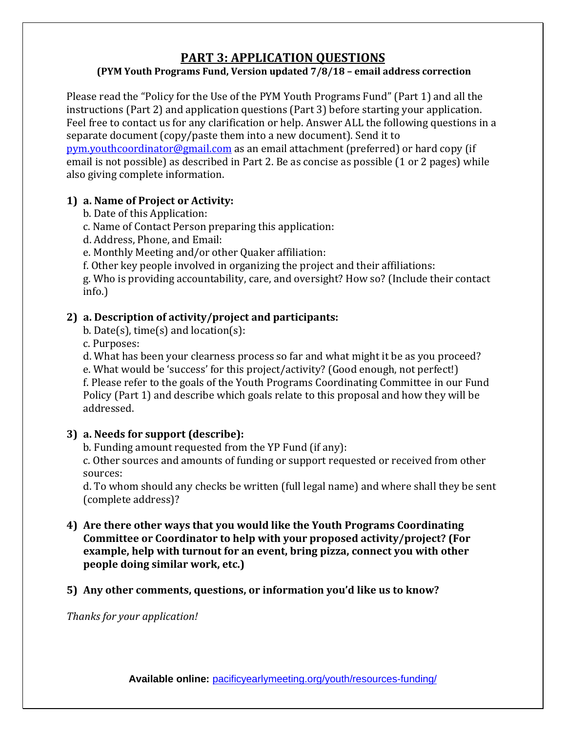# **PART 3: APPLICATION QUESTIONS**

## **(PYM Youth Programs Fund, Version updated 7/8/18 – email address correction**

Please read the "Policy for the Use of the PYM Youth Programs Fund" (Part 1) and all the instructions (Part 2) and application questions (Part 3) before starting your application. Feel free to contact us for any clarification or help. Answer ALL the following questions in a separate document (copy/paste them into a new document). Send it to [pym.youthcoordinator@gmail.com](mailto:pym.youthcoordinator@gmail.com) as an email attachment (preferred) or hard copy (if email is not possible) as described in Part 2. Be as concise as possible (1 or 2 pages) while also giving complete information.

# **1) a. Name of Project or Activity:**

- b. Date of this Application:
- c. Name of Contact Person preparing this application:
- d. Address, Phone, and Email:
- e. Monthly Meeting and/or other Quaker affiliation:
- f. Other key people involved in organizing the project and their affiliations:

g. Who is providing accountability, care, and oversight? How so? (Include their contact info.)

# **2) a. Description of activity/project and participants:**

b. Date(s), time(s) and location(s):

c. Purposes:

d. What has been your clearness process so far and what might it be as you proceed?

e. What would be 'success' for this project/activity? (Good enough, not perfect!) f. Please refer to the goals of the Youth Programs Coordinating Committee in our Fund Policy (Part 1) and describe which goals relate to this proposal and how they will be addressed.

## **3) a. Needs for support (describe):**

b. Funding amount requested from the YP Fund (if any):

c. Other sources and amounts of funding or support requested or received from other sources:

d. To whom should any checks be written (full legal name) and where shall they be sent (complete address)?

**4) Are there other ways that you would like the Youth Programs Coordinating Committee or Coordinator to help with your proposed activity/project? (For example, help with turnout for an event, bring pizza, connect you with other people doing similar work, etc.)**

#### **5) Any other comments, questions, or information you'd like us to know?**

*Thanks for your application!*